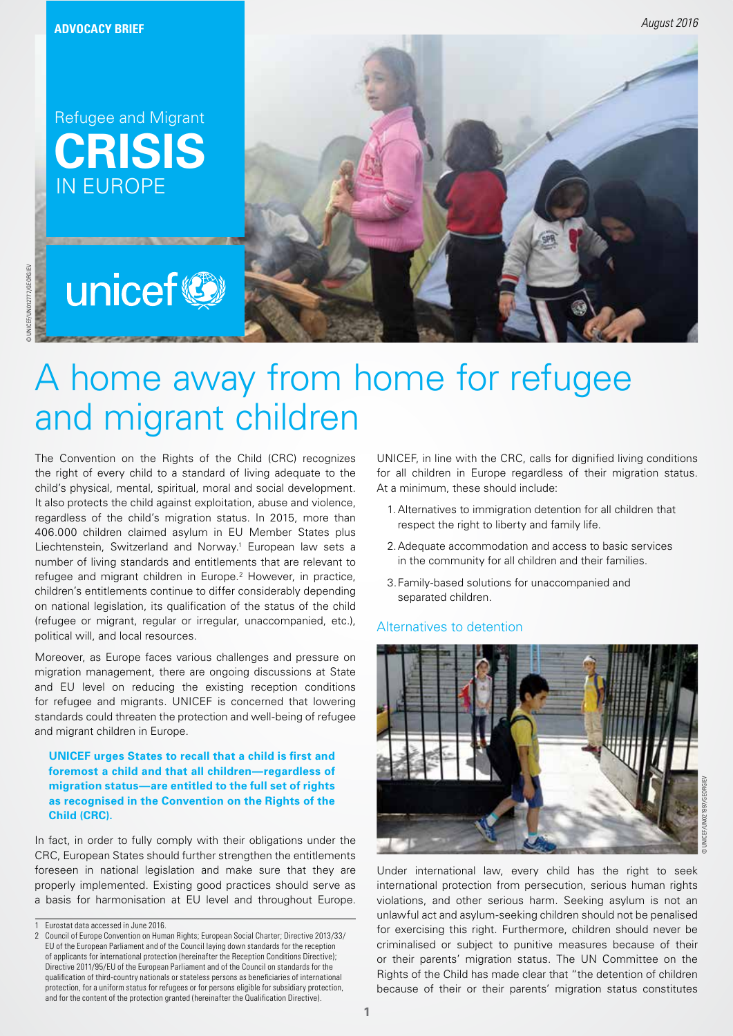© UNICEF/UN012777/GEORGIEV

JNICEF/UN012777/GEORGIEN

**CRISIS** IN EUROPE Refugee and Migrant



# A home away from home for refugee and migrant children

The Convention on the Rights of the Child (CRC) recognizes the right of every child to a standard of living adequate to the child's physical, mental, spiritual, moral and social development. It also protects the child against exploitation, abuse and violence, regardless of the child's migration status. In 2015, more than 406.000 children claimed asylum in EU Member States plus Liechtenstein, Switzerland and Norway.<sup>1</sup> European law sets a number of living standards and entitlements that are relevant to refugee and migrant children in Europe.<sup>2</sup> However, in practice, children's entitlements continue to differ considerably depending on national legislation, its qualification of the status of the child (refugee or migrant, regular or irregular, unaccompanied, etc.), political will, and local resources.

Moreover, as Europe faces various challenges and pressure on migration management, there are ongoing discussions at State and EU level on reducing the existing reception conditions for refugee and migrants. UNICEF is concerned that lowering standards could threaten the protection and well-being of refugee and migrant children in Europe.

#### **UNICEF urges States to recall that a child is first and foremost a child and that all children—regardless of migration status—are entitled to the full set of rights as recognised in the Convention on the Rights of the Child (CRC).**

In fact, in order to fully comply with their obligations under the CRC, European States should further strengthen the entitlements foreseen in national legislation and make sure that they are properly implemented. Existing good practices should serve as a basis for harmonisation at EU level and throughout Europe.

UNICEF, in line with the CRC, calls for dignified living conditions for all children in Europe regardless of their migration status. At a minimum, these should include:

- 1.Alternatives to immigration detention for all children that respect the right to liberty and family life.
- 2.Adequate accommodation and access to basic services in the community for all children and their families.
- 3.Family-based solutions for unaccompanied and separated children.

#### Alternatives to detention



Under international law, every child has the right to seek international protection from persecution, serious human rights violations, and other serious harm. Seeking asylum is not an unlawful act and asylum-seeking children should not be penalised for exercising this right. Furthermore, children should never be criminalised or subject to punitive measures because of their or their parents' migration status. The UN Committee on the Rights of the Child has made clear that "the detention of children because of their or their parents' migration status constitutes

<sup>1</sup> Eurostat data accessed in June 2016.<br>2 Council of Furope Convention on Hum

<sup>2</sup> Council of Europe Convention on Human Rights; European Social Charter; Directive 2013/33/ EU of the European Parliament and of the Council laying down standards for the reception of applicants for international protection (hereinafter the Reception Conditions Directive); Directive 2011/95/EU of the European Parliament and of the Council on standards for the qualification of third-country nationals or stateless persons as beneficiaries of international protection, for a uniform status for refugees or for persons eligible for subsidiary protection, and for the content of the protection granted (hereinafter the Qualification Directive).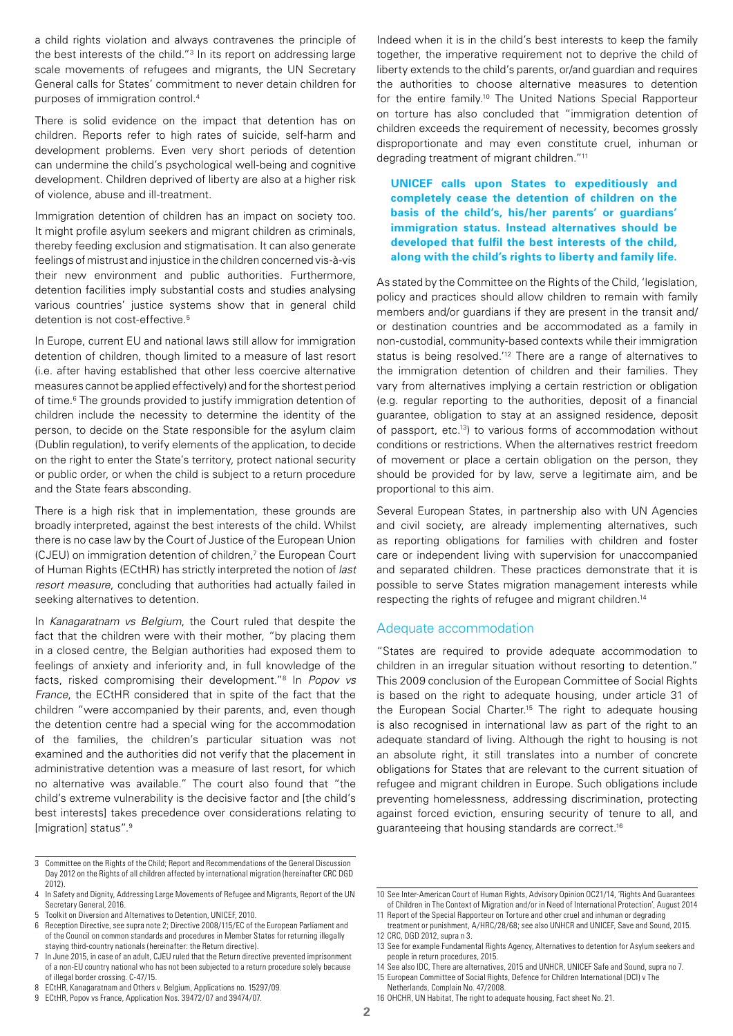a child rights violation and always contravenes the principle of the best interests of the child."<sup>3</sup> In its report on addressing large scale movements of refugees and migrants, the UN Secretary General calls for States' commitment to never detain children for purposes of immigration control.4

There is solid evidence on the impact that detention has on children. Reports refer to high rates of suicide, self-harm and development problems. Even very short periods of detention can undermine the child's psychological well-being and cognitive development. Children deprived of liberty are also at a higher risk of violence, abuse and ill-treatment.

Immigration detention of children has an impact on society too. It might profile asylum seekers and migrant children as criminals, thereby feeding exclusion and stigmatisation. It can also generate feelings of mistrust and injustice in the children concerned vis-à-vis their new environment and public authorities. Furthermore, detention facilities imply substantial costs and studies analysing various countries' justice systems show that in general child detention is not cost-effective.<sup>5</sup>

In Europe, current EU and national laws still allow for immigration detention of children, though limited to a measure of last resort (i.e. after having established that other less coercive alternative measures cannot be applied effectively) and for the shortest period of time.<sup>6</sup> The grounds provided to justify immigration detention of children include the necessity to determine the identity of the person, to decide on the State responsible for the asylum claim (Dublin regulation), to verify elements of the application, to decide on the right to enter the State's territory, protect national security or public order, or when the child is subject to a return procedure and the State fears absconding.

There is a high risk that in implementation, these grounds are broadly interpreted, against the best interests of the child. Whilst there is no case law by the Court of Justice of the European Union (CJEU) on immigration detention of children,<sup>7</sup> the European Court of Human Rights (ECtHR) has strictly interpreted the notion of *last resort measure*, concluding that authorities had actually failed in seeking alternatives to detention.

In *Kanagaratnam vs Belgium*, the Court ruled that despite the fact that the children were with their mother, "by placing them in a closed centre, the Belgian authorities had exposed them to feelings of anxiety and inferiority and, in full knowledge of the facts, risked compromising their development."8 In *Popov vs France*, the ECtHR considered that in spite of the fact that the children "were accompanied by their parents, and, even though the detention centre had a special wing for the accommodation of the families, the children's particular situation was not examined and the authorities did not verify that the placement in administrative detention was a measure of last resort, for which no alternative was available." The court also found that "the child's extreme vulnerability is the decisive factor and [the child's best interests] takes precedence over considerations relating to [migration] status".9

5 Toolkit on Diversion and Alternatives to Detention, UNICEF, 2010.

- 8 ECtHR, Kanagaratnam and Others v. Belgium, Applications no. 15297/09.
- 9 ECtHR, Popov vs France, Application Nos. 39472/07 and 39474/07.

Indeed when it is in the child's best interests to keep the family together, the imperative requirement not to deprive the child of liberty extends to the child's parents, or/and guardian and requires the authorities to choose alternative measures to detention for the entire family.<sup>10</sup> The United Nations Special Rapporteur on torture has also concluded that "immigration detention of children exceeds the requirement of necessity, becomes grossly disproportionate and may even constitute cruel, inhuman or degrading treatment of migrant children."11

## **UNICEF calls upon States to expeditiously and completely cease the detention of children on the basis of the child's, his/her parents' or guardians' immigration status. Instead alternatives should be developed that fulfil the best interests of the child, along with the child's rights to liberty and family life.**

As stated by the Committee on the Rights of the Child, 'legislation, policy and practices should allow children to remain with family members and/or guardians if they are present in the transit and/ or destination countries and be accommodated as a family in non-custodial, community-based contexts while their immigration status is being resolved.'12 There are a range of alternatives to the immigration detention of children and their families. They vary from alternatives implying a certain restriction or obligation (e.g. regular reporting to the authorities, deposit of a financial guarantee, obligation to stay at an assigned residence, deposit of passport, etc.13) to various forms of accommodation without conditions or restrictions. When the alternatives restrict freedom of movement or place a certain obligation on the person, they should be provided for by law, serve a legitimate aim, and be proportional to this aim.

Several European States, in partnership also with UN Agencies and civil society, are already implementing alternatives, such as reporting obligations for families with children and foster care or independent living with supervision for unaccompanied and separated children. These practices demonstrate that it is possible to serve States migration management interests while respecting the rights of refugee and migrant children.14

#### Adequate accommodation

"States are required to provide adequate accommodation to children in an irregular situation without resorting to detention." This 2009 conclusion of the European Committee of Social Rights is based on the right to adequate housing, under article 31 of the European Social Charter.15 The right to adequate housing is also recognised in international law as part of the right to an adequate standard of living. Although the right to housing is not an absolute right, it still translates into a number of concrete obligations for States that are relevant to the current situation of refugee and migrant children in Europe. Such obligations include preventing homelessness, addressing discrimination, protecting against forced eviction, ensuring security of tenure to all, and guaranteeing that housing standards are correct.16

<sup>3</sup> Committee on the Rights of the Child; Report and Recommendations of the General Discussion Day 2012 on the Rights of all children affected by international migration (hereinafter CRC DGD 2012).

<sup>4</sup> In Safety and Dignity, Addressing Large Movements of Refugee and Migrants, Report of the UN Secretary General, 2016.

<sup>6</sup> Reception Directive, see supra note 2; Directive 2008/115/EC of the European Parliament and of the Council on common standards and procedures in Member States for returning illegally staying third-country nationals (hereinafter: the Return directive).

<sup>7</sup> In June 2015, in case of an adult, CJEU ruled that the Return directive prevented imprisonment of a non-EU country national who has not been subjected to a return procedure solely because of illegal border crossing. C-47/15.

<sup>10</sup> See Inter-American Court of Human Rights, Advisory Opinion OC21/14, 'Rights And Guarantees of Children in The Context of Migration and/or in Need of International Protection', August 2014

<sup>11</sup> Report of the Special Rapporteur on Torture and other cruel and inhuman or degrading treatment or punishment, A/HRC/28/68; see also UNHCR and UNICEF, Save and Sound, 2015. 12 CRC, DGD 2012, supra n 3.

<sup>13</sup> See for example Fundamental Rights Agency, Alternatives to detention for Asylum seekers and people in return procedures, 2015.

<sup>14</sup> See also IDC, There are alternatives, 2015 and UNHCR, UNICEF Safe and Sound, supra no 7. 15 European Committee of Social Rights, Defence for Children International (DCI) v The

Netherlands, Complain No. 47/2008. 16 OHCHR, UN Habitat, The right to adequate housing, Fact sheet No. 21.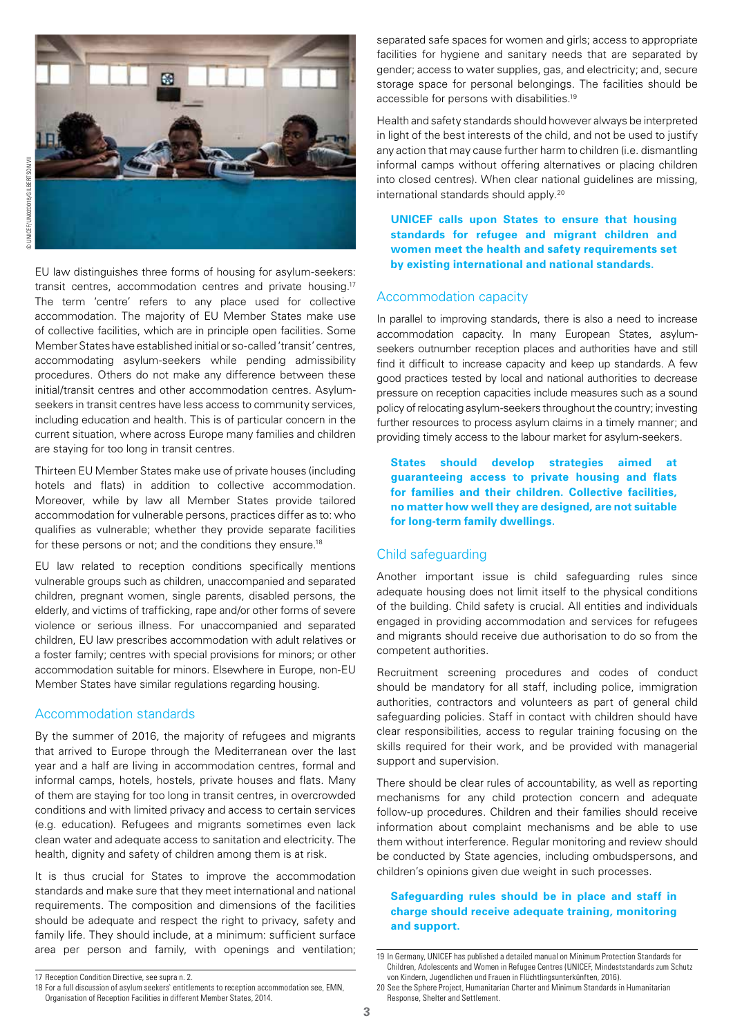

EU law distinguishes three forms of housing for asylum-seekers: transit centres, accommodation centres and private housing.17 The term 'centre' refers to any place used for collective accommodation. The majority of EU Member States make use of collective facilities, which are in principle open facilities. Some Member States have established initial or so-called 'transit' centres, accommodating asylum-seekers while pending admissibility procedures. Others do not make any difference between these initial/transit centres and other accommodation centres. Asylumseekers in transit centres have less access to community services, including education and health. This is of particular concern in the current situation, where across Europe many families and children are staying for too long in transit centres.

Thirteen EU Member States make use of private houses (including hotels and flats) in addition to collective accommodation. Moreover, while by law all Member States provide tailored accommodation for vulnerable persons, practices differ as to: who qualifies as vulnerable; whether they provide separate facilities for these persons or not; and the conditions they ensure.<sup>18</sup>

EU law related to reception conditions specifically mentions vulnerable groups such as children, unaccompanied and separated children, pregnant women, single parents, disabled persons, the elderly, and victims of trafficking, rape and/or other forms of severe violence or serious illness. For unaccompanied and separated children, EU law prescribes accommodation with adult relatives or a foster family; centres with special provisions for minors; or other accommodation suitable for minors. Elsewhere in Europe, non-EU Member States have similar regulations regarding housing.

#### Accommodation standards

By the summer of 2016, the majority of refugees and migrants that arrived to Europe through the Mediterranean over the last year and a half are living in accommodation centres, formal and informal camps, hotels, hostels, private houses and flats. Many of them are staying for too long in transit centres, in overcrowded conditions and with limited privacy and access to certain services (e.g. education). Refugees and migrants sometimes even lack clean water and adequate access to sanitation and electricity. The health, dignity and safety of children among them is at risk.

It is thus crucial for States to improve the accommodation standards and make sure that they meet international and national requirements. The composition and dimensions of the facilities should be adequate and respect the right to privacy, safety and family life. They should include, at a minimum: sufficient surface area per person and family, with openings and ventilation; Health and safety standards should however always be interpreted in light of the best interests of the child, and not be used to justify any action that may cause further harm to children (i.e. dismantling informal camps without offering alternatives or placing children into closed centres). When clear national guidelines are missing, international standards should apply.20

**UNICEF calls upon States to ensure that housing standards for refugee and migrant children and women meet the health and safety requirements set by existing international and national standards.**

## Accommodation capacity

In parallel to improving standards, there is also a need to increase accommodation capacity. In many European States, asylumseekers outnumber reception places and authorities have and still find it difficult to increase capacity and keep up standards. A few good practices tested by local and national authorities to decrease pressure on reception capacities include measures such as a sound policy of relocating asylum-seekers throughout the country; investing further resources to process asylum claims in a timely manner; and providing timely access to the labour market for asylum-seekers.

**States should develop strategies aimed at guaranteeing access to private housing and flats for families and their children. Collective facilities, no matter how well they are designed, are not suitable for long-term family dwellings.**

## Child safeguarding

Another important issue is child safeguarding rules since adequate housing does not limit itself to the physical conditions of the building. Child safety is crucial. All entities and individuals engaged in providing accommodation and services for refugees and migrants should receive due authorisation to do so from the competent authorities.

Recruitment screening procedures and codes of conduct should be mandatory for all staff, including police, immigration authorities, contractors and volunteers as part of general child safeguarding policies. Staff in contact with children should have clear responsibilities, access to regular training focusing on the skills required for their work, and be provided with managerial support and supervision.

There should be clear rules of accountability, as well as reporting mechanisms for any child protection concern and adequate follow-up procedures. Children and their families should receive information about complaint mechanisms and be able to use them without interference. Regular monitoring and review should be conducted by State agencies, including ombudspersons, and children's opinions given due weight in such processes.

## **Safeguarding rules should be in place and staff in charge should receive adequate training, monitoring and support.**

17 Reception Condition Directive, see supra n. 2.

separated safe spaces for women and girls; access to appropriate facilities for hygiene and sanitary needs that are separated by gender; access to water supplies, gas, and electricity; and, secure storage space for personal belongings. The facilities should be accessible for persons with disabilities.19

<sup>19</sup> In Germany, UNICEF has published a detailed manual on Minimum Protection Standards for Children, Adolescents and Women in Refugee Centres (UNICEF, Mindeststandards zum Schutz von Kindern, Jugendlichen und Frauen in Flüchtlingsunterkünften, 2016).

<sup>18</sup> For a full discussion of asylum seekers` entitlements to reception accommodation see, EMN, 20 See the Sphere Project, Humanitarian Charter and Minimum Standards in Humanitarian Response, Shelter and Settlement.

Organisation of Reception Facilities in different Member States, 2014.